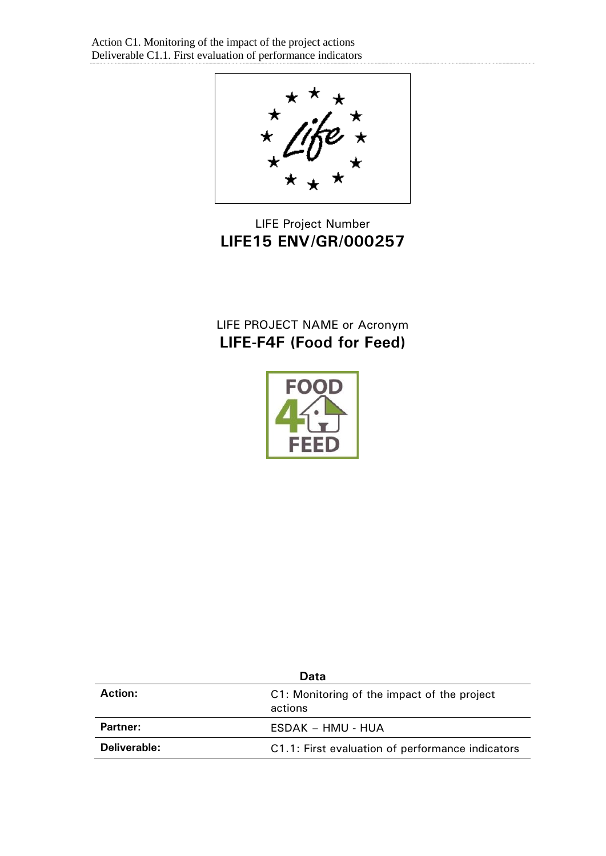

# LIFE Project Number **LIFE15 ENV/GR/000257**

# LIFE PROJECT NAME or Acronym **LIFE-F4F (Food for Feed)**



| Data           |                                                        |  |
|----------------|--------------------------------------------------------|--|
| <b>Action:</b> | C1: Monitoring of the impact of the project<br>actions |  |
| Partner:       | ESDAK – HMU - HUA                                      |  |
| Deliverable:   | C1.1: First evaluation of performance indicators       |  |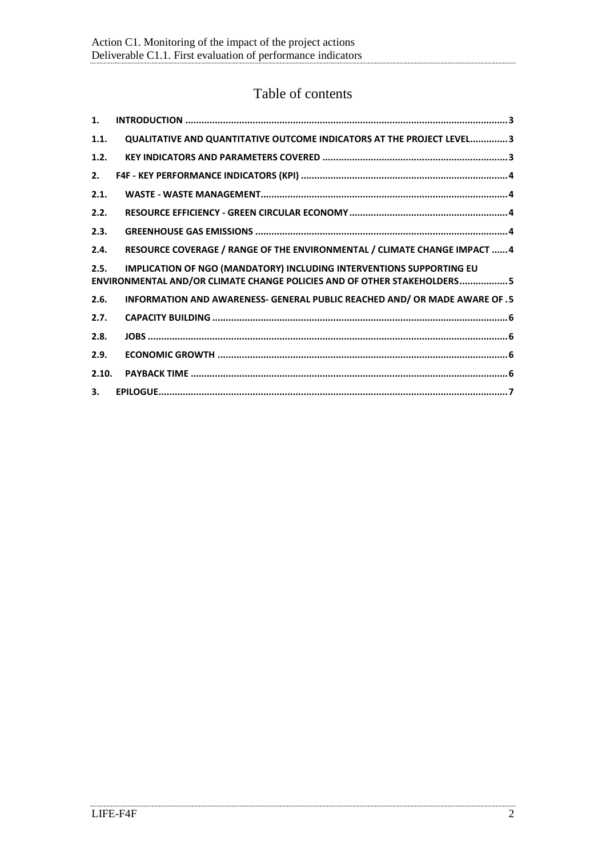# Table of contents

| 1.           |                                                                                                                                                        |
|--------------|--------------------------------------------------------------------------------------------------------------------------------------------------------|
| 1.1.         | QUALITATIVE AND QUANTITATIVE OUTCOME INDICATORS AT THE PROJECT LEVEL3                                                                                  |
| 1.2.         |                                                                                                                                                        |
| 2.           |                                                                                                                                                        |
| 2.1.         |                                                                                                                                                        |
| 2.2.         |                                                                                                                                                        |
| 2.3.         |                                                                                                                                                        |
| 2.4.         | RESOURCE COVERAGE / RANGE OF THE ENVIRONMENTAL / CLIMATE CHANGE IMPACT  4                                                                              |
| 2.5.         | <b>IMPLICATION OF NGO (MANDATORY) INCLUDING INTERVENTIONS SUPPORTING EU</b><br>ENVIRONMENTAL AND/OR CLIMATE CHANGE POLICIES AND OF OTHER STAKEHOLDERS5 |
| 2.6.         | INFORMATION AND AWARENESS- GENERAL PUBLIC REACHED AND/ OR MADE AWARE OF .5                                                                             |
| 2.7.         |                                                                                                                                                        |
| 2.8.         |                                                                                                                                                        |
| 2.9.         |                                                                                                                                                        |
| 2.10.        |                                                                                                                                                        |
| $\mathbf{3}$ |                                                                                                                                                        |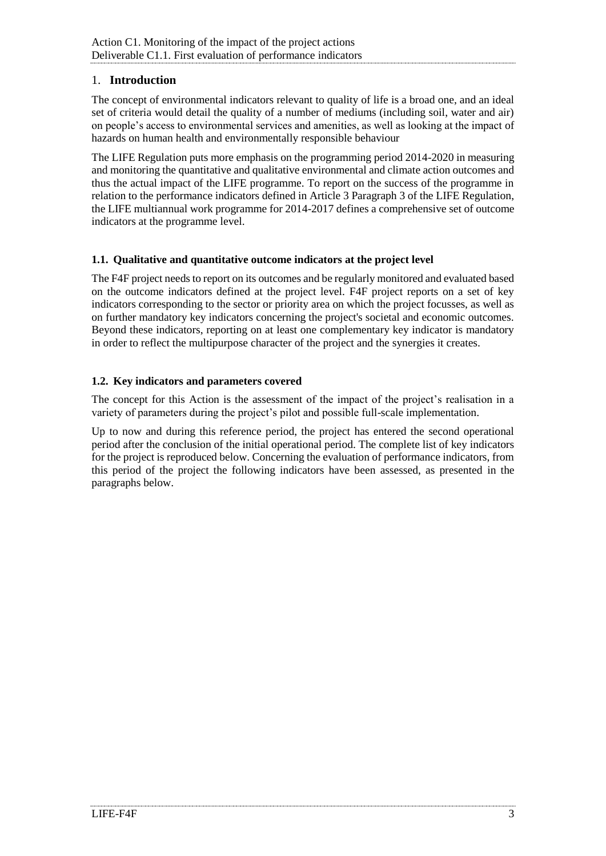# <span id="page-2-0"></span>1. **Introduction**

The concept of environmental indicators relevant to quality of life is a broad one, and an ideal set of criteria would detail the quality of a number of mediums (including soil, water and air) on people's access to environmental services and amenities, as well as looking at the impact of hazards on human health and environmentally responsible behaviour

The LIFE Regulation puts more emphasis on the programming period 2014-2020 in measuring and monitoring the quantitative and qualitative environmental and climate action outcomes and thus the actual impact of the LIFE programme. To report on the success of the programme in relation to the performance indicators defined in Article 3 Paragraph 3 of the LIFE Regulation, the LIFE multiannual work programme for 2014-2017 defines a comprehensive set of outcome indicators at the programme level.

# <span id="page-2-1"></span>**1.1. Qualitative and quantitative outcome indicators at the project level**

The F4F project needs to report on its outcomes and be regularly monitored and evaluated based on the outcome indicators defined at the project level. F4F project reports on a set of key indicators corresponding to the sector or priority area on which the project focusses, as well as on further mandatory key indicators concerning the project's societal and economic outcomes. Beyond these indicators, reporting on at least one complementary key indicator is mandatory in order to reflect the multipurpose character of the project and the synergies it creates.

# <span id="page-2-2"></span>**1.2. Key indicators and parameters covered**

The concept for this Action is the assessment of the impact of the project's realisation in a variety of parameters during the project's pilot and possible full-scale implementation.

Up to now and during this reference period, the project has entered the second operational period after the conclusion of the initial operational period. The complete list of key indicators for the project is reproduced below. Concerning the evaluation of performance indicators, from this period of the project the following indicators have been assessed, as presented in the paragraphs below.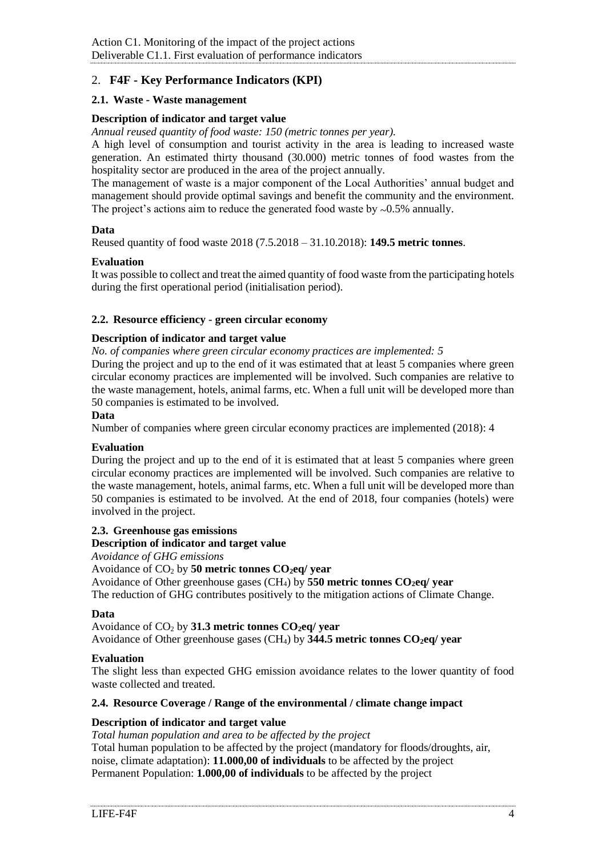# <span id="page-3-0"></span>2. **F4F - Key Performance Indicators (KPI)**

# <span id="page-3-1"></span>**2.1. Waste - Waste management**

# **Description of indicator and target value**

*Annual reused quantity of food waste: 150 (metric tonnes per year).*

A high level of consumption and tourist activity in the area is leading to increased waste generation. An estimated thirty thousand (30.000) metric tonnes of food wastes from the hospitality sector are produced in the area of the project annually.

The management of waste is a major component of the Local Authorities' annual budget and management should provide optimal savings and benefit the community and the environment. The project's actions aim to reduce the generated food waste by  $\approx 0.5\%$  annually.

# **Data**

Reused quantity of food waste 2018 (7.5.2018 – 31.10.2018): **149.5 metric tonnes**.

# **Evaluation**

It was possible to collect and treat the aimed quantity of food waste from the participating hotels during the first operational period (initialisation period).

#### <span id="page-3-2"></span>**2.2. Resource efficiency - green circular economy**

#### **Description of indicator and target value**

*No. of companies where green circular economy practices are implemented: 5*

During the project and up to the end of it was estimated that at least 5 companies where green circular economy practices are implemented will be involved. Such companies are relative to the waste management, hotels, animal farms, etc. When a full unit will be developed more than 50 companies is estimated to be involved.

#### **Data**

Number of companies where green circular economy practices are implemented (2018): 4

# **Evaluation**

During the project and up to the end of it is estimated that at least 5 companies where green circular economy practices are implemented will be involved. Such companies are relative to the waste management, hotels, animal farms, etc. When a full unit will be developed more than 50 companies is estimated to be involved. At the end of 2018, four companies (hotels) were involved in the project.

# <span id="page-3-3"></span>**2.3. Greenhouse gas emissions**

#### **Description of indicator and target value**

*Avoidance of GHG emissions*

#### Avoidance of CO<sup>2</sup> by **50 metric tonnes CO2eq/ year**

Avoidance of Other greenhouse gases (CH4) by **550 metric tonnes CO2eq/ year**

The reduction of GHG contributes positively to the mitigation actions of Climate Change.

#### **Data**

Avoidance of CO<sup>2</sup> by **31.3 metric tonnes CO2eq/ year** Avoidance of Other greenhouse gases (CH4) by **344.5 metric tonnes CO2eq/ year**

# **Evaluation**

The slight less than expected GHG emission avoidance relates to the lower quantity of food waste collected and treated.

#### <span id="page-3-4"></span>**2.4. Resource Coverage / Range of the environmental / climate change impact**

# **Description of indicator and target value**

*Total human population and area to be affected by the project* Total human population to be affected by the project (mandatory for floods/droughts, air, noise, climate adaptation): **11.000,00 of individuals** to be affected by the project Permanent Population: **1.000,00 of individuals** to be affected by the project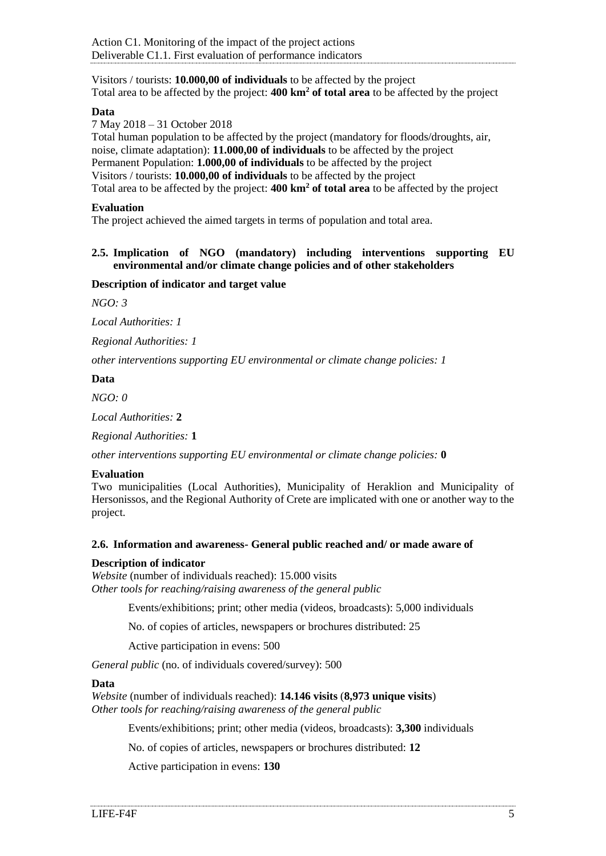Visitors / tourists: **10.000,00 of individuals** to be affected by the project Total area to be affected by the project: **400 km<sup>2</sup> of total area** to be affected by the project

#### **Data**

7 May 2018 – 31 October 2018

Total human population to be affected by the project (mandatory for floods/droughts, air, noise, climate adaptation): **11.000,00 of individuals** to be affected by the project Permanent Population: **1.000,00 of individuals** to be affected by the project Visitors / tourists: **10.000,00 of individuals** to be affected by the project Total area to be affected by the project: **400 km<sup>2</sup> of total area** to be affected by the project

#### **Evaluation**

The project achieved the aimed targets in terms of population and total area.

#### <span id="page-4-0"></span>**2.5. Implication of NGO (mandatory) including interventions supporting EU environmental and/or climate change policies and of other stakeholders**

#### **Description of indicator and target value**

*NGO: 3*

*Local Authorities: 1*

*Regional Authorities: 1*

*other interventions supporting EU environmental or climate change policies: 1*

#### **Data**

*NGO: 0*

*Local Authorities:* **2**

*Regional Authorities:* **1**

*other interventions supporting EU environmental or climate change policies:* **0**

# **Evaluation**

Two municipalities (Local Authorities), Municipality of Heraklion and Municipality of Hersonissos, and the Regional Authority of Crete are implicated with one or another way to the project.

#### <span id="page-4-1"></span>**2.6. Information and awareness- General public reached and/ or made aware of**

#### **Description of indicator**

*Website* (number of individuals reached): 15.000 visits *Other tools for reaching/raising awareness of the general public*

Events/exhibitions; print; other media (videos, broadcasts): 5,000 individuals

No. of copies of articles, newspapers or brochures distributed: 25

Active participation in evens: 500

*General public* (no. of individuals covered/survey): 500

#### **Data**

*Website* (number of individuals reached): **14.146 visits** (**8,973 unique visits**) *Other tools for reaching/raising awareness of the general public*

Events/exhibitions; print; other media (videos, broadcasts): **3,300** individuals

No. of copies of articles, newspapers or brochures distributed: **12**

Active participation in evens: **130**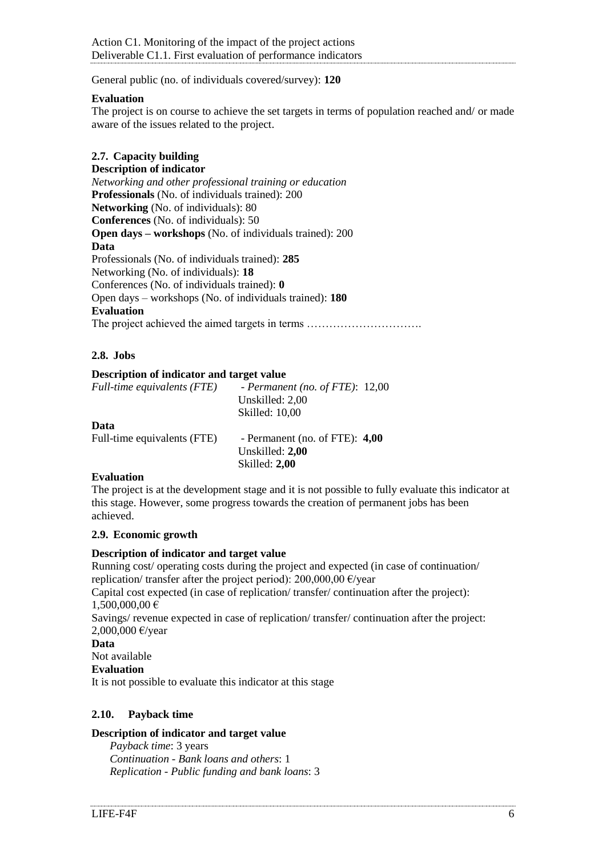General public (no. of individuals covered/survey): **120**

#### **Evaluation**

The project is on course to achieve the set targets in terms of population reached and/ or made aware of the issues related to the project.

# <span id="page-5-0"></span>**2.7. Capacity building**

### **Description of indicator**

*Networking and other professional training or education*  **Professionals** (No. of individuals trained): 200 **Networking** (No. of individuals): 80 **Conferences** (No. of individuals): 50 **Open days – workshops** (No. of individuals trained): 200 **Data** Professionals (No. of individuals trained): **285** Networking (No. of individuals): **18** Conferences (No. of individuals trained): **0** Open days – workshops (No. of individuals trained): **180 Evaluation** The project achieved the aimed targets in terms ………………………….

# <span id="page-5-1"></span>**2.8. Jobs**

#### **Description of indicator and target value**

| Full-time equivalents (FTE) | - Permanent (no. of FTE): $12,00$ |  |
|-----------------------------|-----------------------------------|--|
|                             | Unskilled: 2.00                   |  |
|                             | Skilled: 10,00                    |  |
|                             |                                   |  |

#### **Data**

| Full-time equivalents (FTE) | - Permanent (no. of FTE): $4,00$ |
|-----------------------------|----------------------------------|
|                             | Unskilled: 2,00                  |
|                             | Skilled: 2,00                    |

# **Evaluation**

The project is at the development stage and it is not possible to fully evaluate this indicator at this stage. However, some progress towards the creation of permanent jobs has been achieved.

### <span id="page-5-2"></span>**2.9. Economic growth**

# **Description of indicator and target value**

Running cost/ operating costs during the project and expected (in case of continuation/ replication/ transfer after the project period):  $200,000,00 \in \text{/year}$ Capital cost expected (in case of replication/ transfer/ continuation after the project): 1,500,000,00 €

Savings/ revenue expected in case of replication/ transfer/ continuation after the project: 2,000,000 €/year

#### **Data**

Not available

**Evaluation**

It is not possible to evaluate this indicator at this stage

# <span id="page-5-3"></span>**2.10. Payback time**

# **Description of indicator and target value**

*Payback time*: 3 years *Continuation - Bank loans and others*: 1 *Replication - Public funding and bank loans*: 3